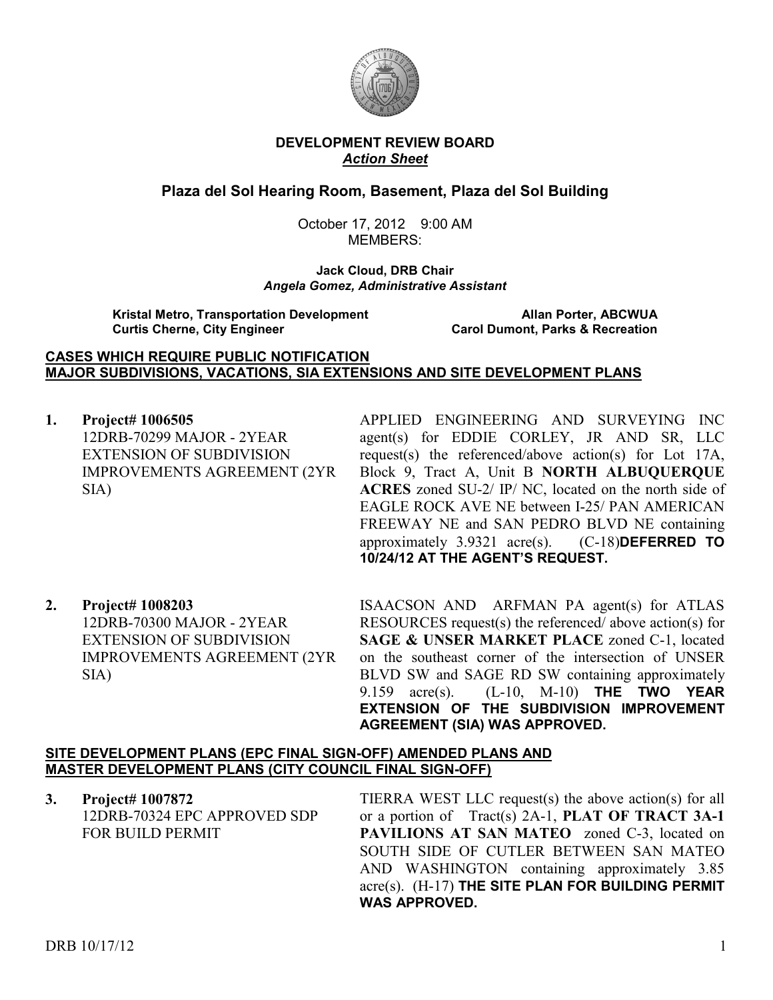

## **DEVELOPMENT REVIEW BOARD**  *Action Sheet*

# **Plaza del Sol Hearing Room, Basement, Plaza del Sol Building**

October 17, 2012 9:00 AM MEMBERS:

**Jack Cloud, DRB Chair**  *Angela Gomez, Administrative Assistant* 

**Kristal Metro, Transportation Development Allan Porter, ABCWUA Curtis Cherne, City Engineer** 

#### **CASES WHICH REQUIRE PUBLIC NOTIFICATION MAJOR SUBDIVISIONS, VACATIONS, SIA EXTENSIONS AND SITE DEVELOPMENT PLANS**

**1. Project# 1006505** 12DRB-70299 MAJOR - 2YEAR EXTENSION OF SUBDIVISION IMPROVEMENTS AGREEMENT (2YR SIA)

APPLIED ENGINEERING AND SURVEYING INC agent(s) for EDDIE CORLEY, JR AND SR, LLC request(s) the referenced/above action(s) for Lot 17A, Block 9, Tract A, Unit B **NORTH ALBUQUERQUE ACRES** zoned SU-2/ IP/ NC, located on the north side of EAGLE ROCK AVE NE between I-25/ PAN AMERICAN FREEWAY NE and SAN PEDRO BLVD NE containing approximately 3.9321 acre(s). (C-18)**DEFERRED TO 10/24/12 AT THE AGENT'S REQUEST.** 

**2. Project# 1008203** 12DRB-70300 MAJOR - 2YEAR EXTENSION OF SUBDIVISION IMPROVEMENTS AGREEMENT (2YR SIA)

ISAACSON AND ARFMAN PA agent(s) for ATLAS RESOURCES request(s) the referenced/ above action(s) for **SAGE & UNSER MARKET PLACE** zoned C-1, located on the southeast corner of the intersection of UNSER BLVD SW and SAGE RD SW containing approximately 9.159 acre(s). (L-10, M-10) **THE TWO YEAR EXTENSION OF THE SUBDIVISION IMPROVEMENT AGREEMENT (SIA) WAS APPROVED.**

### **SITE DEVELOPMENT PLANS (EPC FINAL SIGN-OFF) AMENDED PLANS AND MASTER DEVELOPMENT PLANS (CITY COUNCIL FINAL SIGN-OFF)**

**3. Project# 1007872** 12DRB-70324 EPC APPROVED SDP FOR BUILD PERMIT

TIERRA WEST LLC request(s) the above action(s) for all or a portion of Tract(s) 2A-1, **PLAT OF TRACT 3A-1**  PAVILIONS AT SAN MATEO zoned C-3, located on SOUTH SIDE OF CUTLER BETWEEN SAN MATEO AND WASHINGTON containing approximately 3.85 acre(s). (H-17) **THE SITE PLAN FOR BUILDING PERMIT WAS APPROVED.**